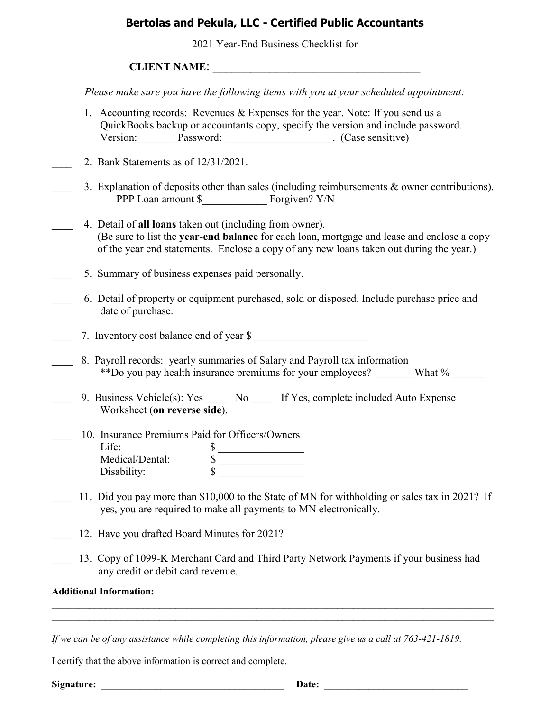## **Bertolas and Pekula, LLC - Certified Public Accountants**

2021 Year-End Business Checklist for

## **CLIENT NAME:**

*Please make sure you have the following items with you at your scheduled appointment:*

- 1. Accounting records: Revenues & Expenses for the year. Note: If you send us a QuickBooks backup or accountants copy, specify the version and include password. Version: Password: [2013] Password: [2013] [2013] [2014] [2014] [2013] [2014] [2014] [2014] [2014] [2014] [2014] [2014] [2014] [2014] [2014] [2014] [2014] [2014] [2014] [2014] [2014] [2014] [2014] [2014] [2014] [2014] [201
- \_\_\_\_ 2. Bank Statements as of 12/31/2021.
	- 3. Explanation of deposits other than sales (including reimbursements  $\&$  owner contributions). PPP Loan amount \$ Forgiven? Y/N
- \_\_\_\_ 4. Detail of **all loans** taken out (including from owner). (Be sure to list the **year-end balance** for each loan, mortgage and lease and enclose a copy of the year end statements. Enclose a copy of any new loans taken out during the year.)
- 5. Summary of business expenses paid personally.
	- \_\_\_\_ 6. Detail of property or equipment purchased, sold or disposed. Include purchase price and date of purchase.

7. Inventory cost balance end of year \$

- 8. Payroll records: yearly summaries of Salary and Payroll tax information \*\*Do you pay health insurance premiums for your employees? What %
- 9. Business Vehicle(s): Yes No If Yes, complete included Auto Expense Worksheet (**on reverse side**).
- \_\_\_\_ 10. Insurance Premiums Paid for Officers/Owners Life:  $\qquad \qquad$   $\qquad \qquad$   $\qquad$   $\qquad$  Medical/Dental: \$ \_\_\_\_\_\_\_\_\_\_\_\_\_\_\_\_ Disability:  $\qquad \qquad \mathbb{S}$
- 11. Did you pay more than \$10,000 to the State of MN for withholding or sales tax in 2021? If yes, you are required to make all payments to MN electronically.
- 12. Have you drafted Board Minutes for 2021?
- 13. Copy of 1099-K Merchant Card and Third Party Network Payments if your business had any credit or debit card revenue.

**\_\_\_\_\_\_\_\_\_\_\_\_\_\_\_\_\_\_\_\_\_\_\_\_\_\_\_\_\_\_\_\_\_\_\_\_\_\_\_\_\_\_\_\_\_\_\_\_\_\_\_\_\_\_\_\_\_\_\_\_\_\_\_\_\_\_\_\_\_\_\_\_\_\_\_\_\_\_\_\_\_\_ \_\_\_\_\_\_\_\_\_\_\_\_\_\_\_\_\_\_\_\_\_\_\_\_\_\_\_\_\_\_\_\_\_\_\_\_\_\_\_\_\_\_\_\_\_\_\_\_\_\_\_\_\_\_\_\_\_\_\_\_\_\_\_\_\_\_\_\_\_\_\_\_\_\_\_\_\_\_\_\_\_\_**

## **Additional Information:**

*If we can be of any assistance while completing this information, please give us a call at 763-421-1819.*

I certify that the above information is correct and complete.

**Signature: \_\_\_\_\_\_\_\_\_\_\_\_\_\_\_\_\_\_\_\_\_\_\_\_\_\_\_\_\_\_\_\_\_\_\_\_\_ Date: \_\_\_\_\_\_\_\_\_\_\_\_\_\_\_\_\_\_\_\_\_\_\_\_\_\_\_\_\_**